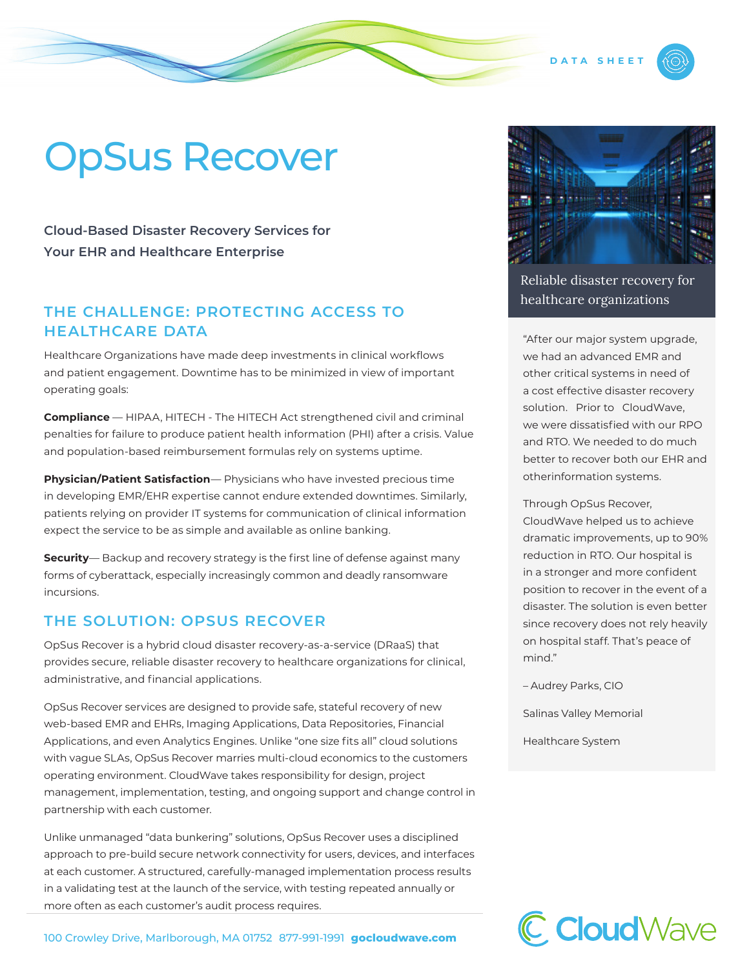# OpSus Recover

**Cloud-Based Disaster Recovery Services for Your EHR and Healthcare Enterprise**

#### **THE CHALLENGE: PROTECTING ACCESS TO HEALTHCARE DATA**

Healthcare Organizations have made deep investments in clinical workflows and patient engagement. Downtime has to be minimized in view of important operating goals:

**Compliance** — HIPAA, HITECH - The HITECH Act strengthened civil and criminal penalties for failure to produce patient health information (PHI) after a crisis. Value and population-based reimbursement formulas rely on systems uptime.

**Physician/Patient Satisfaction**— Physicians who have invested precious time in developing EMR/EHR expertise cannot endure extended downtimes. Similarly, patients relying on provider IT systems for communication of clinical information expect the service to be as simple and available as online banking.

**Security**— Backup and recovery strategy is the first line of defense against many forms of cyberattack, especially increasingly common and deadly ransomware incursions.

#### **THE SOLUTION: OPSUS RECOVER**

OpSus Recover is a hybrid cloud disaster recovery-as-a-service (DRaaS) that provides secure, reliable disaster recovery to healthcare organizations for clinical, administrative, and financial applications.

OpSus Recover services are designed to provide safe, stateful recovery of new web-based EMR and EHRs, Imaging Applications, Data Repositories, Financial Applications, and even Analytics Engines. Unlike "one size fits all" cloud solutions with vague SLAs, OpSus Recover marries multi-cloud economics to the customers operating environment. CloudWave takes responsibility for design, project management, implementation, testing, and ongoing support and change control in partnership with each customer.

Unlike unmanaged "data bunkering" solutions, OpSus Recover uses a disciplined approach to pre-build secure network connectivity for users, devices, and interfaces at each customer. A structured, carefully-managed implementation process results in a validating test at the launch of the service, with testing repeated annually or more often as each customer's audit process requires.





**DATA SHEE** 

Reliable disaster recovery for healthcare organizations

"After our major system upgrade, we had an advanced EMR and other critical systems in need of a cost effective disaster recovery solution. Prior to CloudWave, we were dissatisfied with our RPO and RTO. We needed to do much better to recover both our EHR and otherinformation systems.

Through OpSus Recover,

CloudWave helped us to achieve dramatic improvements, up to 90% reduction in RTO. Our hospital is in a stronger and more confident position to recover in the event of a disaster. The solution is even better since recovery does not rely heavily on hospital staff. That's peace of mind."

– Audrey Parks, CIO

Salinas Valley Memorial

Healthcare System